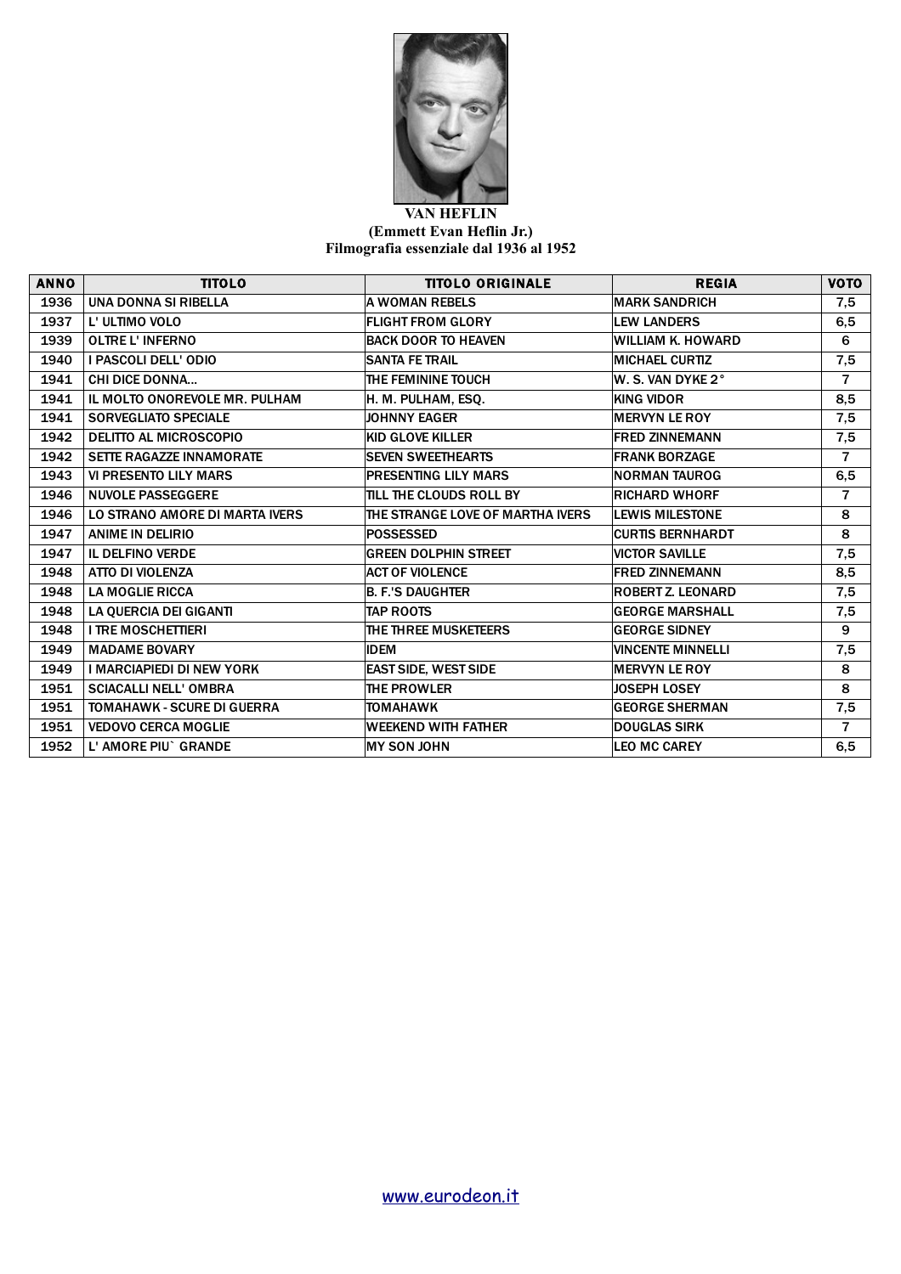

## **VAN HEFLIN (Emmett Evan Heflin Jr.) Filmografia essenziale dal 1936 al 1952**

| <b>ANNO</b> | <b>TITOLO</b>                   | <b>TITOLO ORIGINALE</b>          | <b>REGIA</b>             | <b>VOTO</b>    |
|-------------|---------------------------------|----------------------------------|--------------------------|----------------|
| 1936        | UNA DONNA SI RIBELLA            | <b>A WOMAN REBELS</b>            | <b>MARK SANDRICH</b>     | 7,5            |
| 1937        | L' ULTIMO VOLO                  | <b>FLIGHT FROM GLORY</b>         | <b>LEW LANDERS</b>       | 6,5            |
| 1939        | <b>OLTRE L'INFERNO</b>          | <b>BACK DOOR TO HEAVEN</b>       | <b>WILLIAM K. HOWARD</b> | 6              |
| 1940        | I PASCOLI DELL' ODIO            | <b>SANTA FE TRAIL</b>            | <b>MICHAEL CURTIZ</b>    | 7,5            |
| 1941        | <b>CHI DICE DONNA</b>           | THE FEMININE TOUCH               | W. S. VAN DYKE 2°        | $\overline{7}$ |
| 1941        | IL MOLTO ONOREVOLE MR. PULHAM   | H. M. PULHAM, ESQ.               | <b>KING VIDOR</b>        | 8,5            |
| 1941        | <b>SORVEGLIATO SPECIALE</b>     | <b>JOHNNY EAGER</b>              | <b>MERVYN LE ROY</b>     | 7,5            |
| 1942        | <b>DELITTO AL MICROSCOPIO</b>   | <b>KID GLOVE KILLER</b>          | <b>FRED ZINNEMANN</b>    | 7,5            |
| 1942        | <b>SETTE RAGAZZE INNAMORATE</b> | <b>SEVEN SWEETHEARTS</b>         | <b>FRANK BORZAGE</b>     | $\overline{7}$ |
| 1943        | <b>VI PRESENTO LILY MARS</b>    | <b>PRESENTING LILY MARS</b>      | <b>NORMAN TAUROG</b>     | 6,5            |
| 1946        | <b>NUVOLE PASSEGGERE</b>        | TILL THE CLOUDS ROLL BY          | <b>RICHARD WHORF</b>     | $\overline{7}$ |
| 1946        | LO STRANO AMORE DI MARTA IVERS  | THE STRANGE LOVE OF MARTHA IVERS | <b>LEWIS MILESTONE</b>   | 8              |
| 1947        | <b>ANIME IN DELIRIO</b>         | <b>POSSESSED</b>                 | <b>CURTIS BERNHARDT</b>  | 8              |
| 1947        | <b>IL DELFINO VERDE</b>         | <b>GREEN DOLPHIN STREET</b>      | <b>VICTOR SAVILLE</b>    | 7,5            |
| 1948        | ATTO DI VIOLENZA                | <b>ACT OF VIOLENCE</b>           | <b>FRED ZINNEMANN</b>    | 8,5            |
| 1948        | <b>LA MOGLIE RICCA</b>          | <b>B. F.'S DAUGHTER</b>          | <b>ROBERT Z. LEONARD</b> | 7,5            |
| 1948        | LA QUERCIA DEI GIGANTI          | <b>TAP ROOTS</b>                 | <b>GEORGE MARSHALL</b>   | 7,5            |
| 1948        | <b>I TRE MOSCHETTIERI</b>       | THE THREE MUSKETEERS             | <b>GEORGE SIDNEY</b>     | 9              |
| 1949        | <b>MADAME BOVARY</b>            | <b>IDEM</b>                      | <b>VINCENTE MINNELLI</b> | 7,5            |
| 1949        | I MARCIAPIEDI DI NEW YORK       | <b>EAST SIDE, WEST SIDE</b>      | <b>MERVYN LE ROY</b>     | 8              |
| 1951        | <b>SCIACALLI NELL' OMBRA</b>    | THE PROWLER                      | <b>JOSEPH LOSEY</b>      | 8              |
| 1951        | TOMAHAWK - SCURE DI GUERRA      | <b>TOMAHAWK</b>                  | <b>GEORGE SHERMAN</b>    | 7,5            |
| 1951        | <b>VEDOVO CERCA MOGLIE</b>      | <b>WEEKEND WITH FATHER</b>       | <b>DOUGLAS SIRK</b>      | $\overline{7}$ |
| 1952        | L' AMORE PIU` GRANDE            | <b>MY SON JOHN</b>               | <b>LEO MC CAREY</b>      | 6,5            |